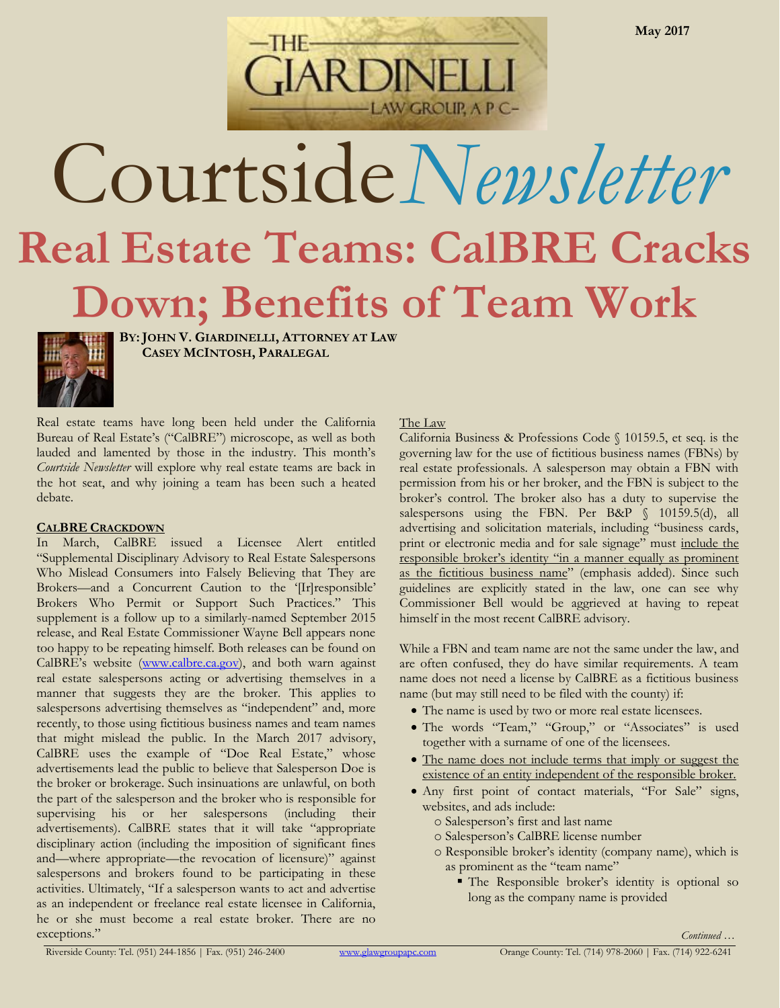

LAW GROUP, A P C-



**BY:JOHN V. GIARDINELLI, ATTORNEY AT LAW CASEY MCINTOSH, PARALEGAL**

Real estate teams have long been held under the California Bureau of Real Estate's ("CalBRE") microscope, as well as both lauded and lamented by those in the industry. This month's *Courtside Newsletter* will explore why real estate teams are back in the hot seat, and why joining a team has been such a heated debate.

#### **CALBRE CRACKDOWN**

In March, CalBRE issued a Licensee Alert entitled "Supplemental Disciplinary Advisory to Real Estate Salespersons Who Mislead Consumers into Falsely Believing that They are Brokers—and a Concurrent Caution to the '[Ir]responsible' Brokers Who Permit or Support Such Practices." This supplement is a follow up to a similarly-named September 2015 release, and Real Estate Commissioner Wayne Bell appears none too happy to be repeating himself. Both releases can be found on CalBRE's website ([www.calbre.ca.gov\)](http://www.calbre.ca.gov/), and both warn against real estate salespersons acting or advertising themselves in a manner that suggests they are the broker. This applies to salespersons advertising themselves as "independent" and, more recently, to those using fictitious business names and team names that might mislead the public. In the March 2017 advisory, CalBRE uses the example of "Doe Real Estate," whose advertisements lead the public to believe that Salesperson Doe is the broker or brokerage. Such insinuations are unlawful, on both the part of the salesperson and the broker who is responsible for supervising his or her salespersons (including their advertisements). CalBRE states that it will take "appropriate disciplinary action (including the imposition of significant fines and—where appropriate—the revocation of licensure)" against salespersons and brokers found to be participating in these activities. Ultimately, "If a salesperson wants to act and advertise as an independent or freelance real estate licensee in California, he or she must become a real estate broker. There are no exceptions."

# The Law

California Business & Professions Code § 10159.5, et seq. is the governing law for the use of fictitious business names (FBNs) by real estate professionals. A salesperson may obtain a FBN with permission from his or her broker, and the FBN is subject to the broker's control. The broker also has a duty to supervise the salespersons using the FBN. Per B&P § 10159.5(d), all advertising and solicitation materials, including "business cards, print or electronic media and for sale signage" must include the responsible broker's identity "in a manner equally as prominent as the fictitious business name" (emphasis added). Since such guidelines are explicitly stated in the law, one can see why Commissioner Bell would be aggrieved at having to repeat himself in the most recent CalBRE advisory.

While a FBN and team name are not the same under the law, and are often confused, they do have similar requirements. A team name does not need a license by CalBRE as a fictitious business name (but may still need to be filed with the county) if:

- The name is used by two or more real estate licensees.
- The words "Team," "Group," or "Associates" is used together with a surname of one of the licensees.
- The name does not include terms that imply or suggest the existence of an entity independent of the responsible broker.
- Any first point of contact materials, "For Sale" signs, websites, and ads include:
	- o Salesperson's first and last name
	- o Salesperson's CalBRE license number
	- o Responsible broker's identity (company name), which is as prominent as the "team name"
		- The Responsible broker's identity is optional so long as the company name is provided

*Continued …*